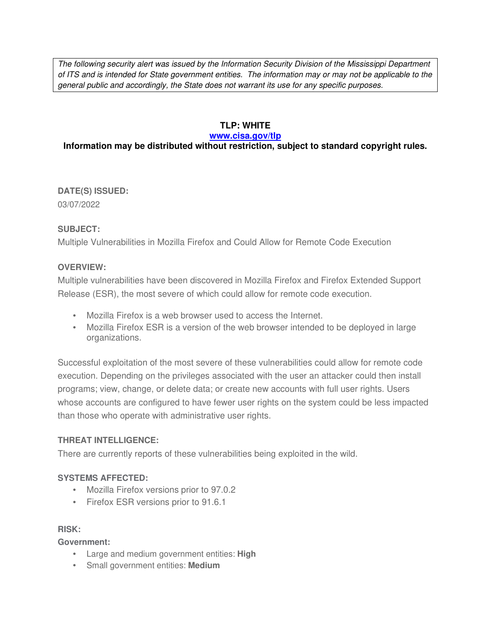The following security alert was issued by the Information Security Division of the Mississippi Department of ITS and is intended for State government entities. The information may or may not be applicable to the general public and accordingly, the State does not warrant its use for any specific purposes.

## **TLP: WHITE**

#### **www.cisa.gov/tlp**

# **Information may be distributed without restriction, subject to standard copyright rules.**

**DATE(S) ISSUED:** 03/07/2022

### **SUBJECT:**

Multiple Vulnerabilities in Mozilla Firefox and Could Allow for Remote Code Execution

### **OVERVIEW:**

Multiple vulnerabilities have been discovered in Mozilla Firefox and Firefox Extended Support Release (ESR), the most severe of which could allow for remote code execution.

- Mozilla Firefox is a web browser used to access the Internet.
- Mozilla Firefox ESR is a version of the web browser intended to be deployed in large organizations.

Successful exploitation of the most severe of these vulnerabilities could allow for remote code execution. Depending on the privileges associated with the user an attacker could then install programs; view, change, or delete data; or create new accounts with full user rights. Users whose accounts are configured to have fewer user rights on the system could be less impacted than those who operate with administrative user rights.

### **THREAT INTELLIGENCE:**

There are currently reports of these vulnerabilities being exploited in the wild.

### **SYSTEMS AFFECTED:**

- Mozilla Firefox versions prior to 97.0.2
- Firefox ESR versions prior to 91.6.1

### **RISK:**

**Government:**

- Large and medium government entities: **High**
- Small government entities: **Medium**